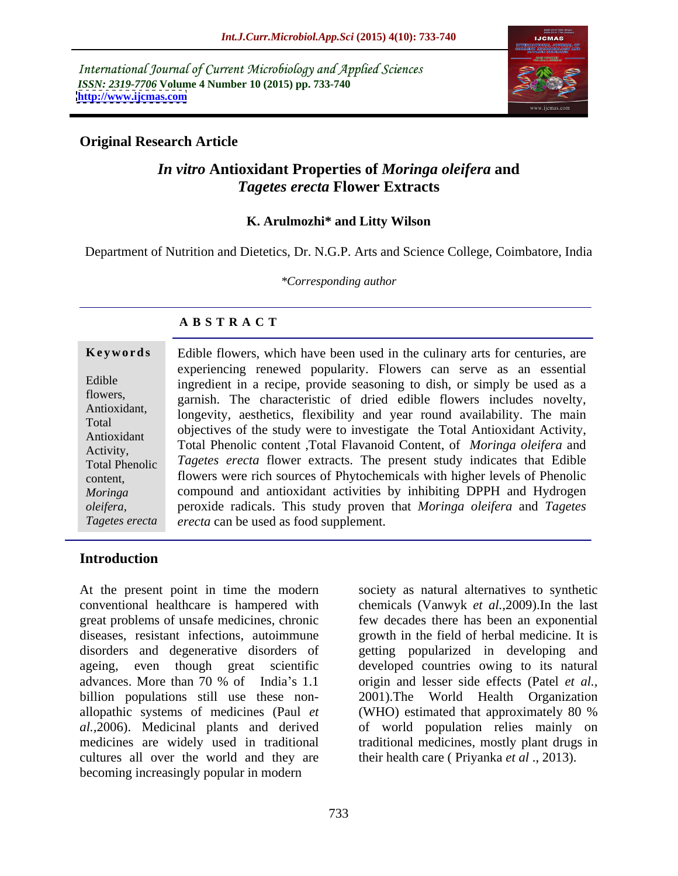International Journal of Current Microbiology and Applied Sciences *ISSN: 2319-7706* **Volume 4 Number 10 (2015) pp. 733-740 <http://www.ijcmas.com>**



### **Original Research Article**

### *In vitro* **Antioxidant Properties of** *Moringa oleifera* **and**  *Tagetes erecta* **Flower Extracts**

### **K. Arulmozhi\* and Litty Wilson**

Department of Nutrition and Dietetics, Dr. N.G.P. Arts and Science College, Coimbatore, India

*\*Corresponding author*

### **A B S T R A C T**

**Keywords** Edible flowers, which have been used in the culinary arts for centuries, are experiencing renewed popularity. Flowers can serve as an essential Edible  $\qquad$  ingredient in a recipe, provide seasoning to dish, or simply be used as a flowers, garnish. The characteristic of dried edible flowers includes novelty, Antioxidant, longevity, aesthetics, flexibility and year round availability. The main Total<br>Antioxidant objectives of the study were to investigate the Total Antioxidant Activity, Antioxidant<br>Activity Total Phenolic content ,Total Flavanoid Content, of *Moringa oleifera* and *Tagetes erecta* flower extracts. The present study indicates that Edible Total Phenolic flowers were rich sources of Phytochemicals with higher levels of Phenolic compound and antioxidant activities by inhibiting DPPH and Hydrogen *Moringa*  peroxide radicals. This study proven that *Moringa oleifera* and *Tagetes oleifera, erecta* can be used as food supplement. Activity,  $\overline{a}$  and  $\overline{b}$  are content to all riavanoid Content, or *Moringa olegera* and content, *Tagetes erecta*

### **Introduction**

At the present point in time the modern society as natural alternatives to synthetic conventional healthcare is hampered with chemicals (Vanwyk *et al.,*2009).In the last great problems of unsafe medicines, chronic diseases, resistant infections, autoimmune growth in the field of herbal medicine. It is disorders and degenerative disorders of getting popularized in developing and ageing, even though great scientific developed countries owing to its natural advances. More than 70 % of India's 1.1 origin and lesser side effects (Patel *et al.,* billion populations still use these non- 2001).The World Health Organization allopathic systems of medicines (Paul *et*  (WHO) estimated that approximately 80 % *al.,*2006). Medicinal plants and derived of world population relies mainly on medicines are widely used in traditional traditional medicines, mostly plant drugs in cultures all over the world and they are becoming increasingly popular in modern

few decades there has been an exponential their health care ( Priyanka *et al* ., 2013).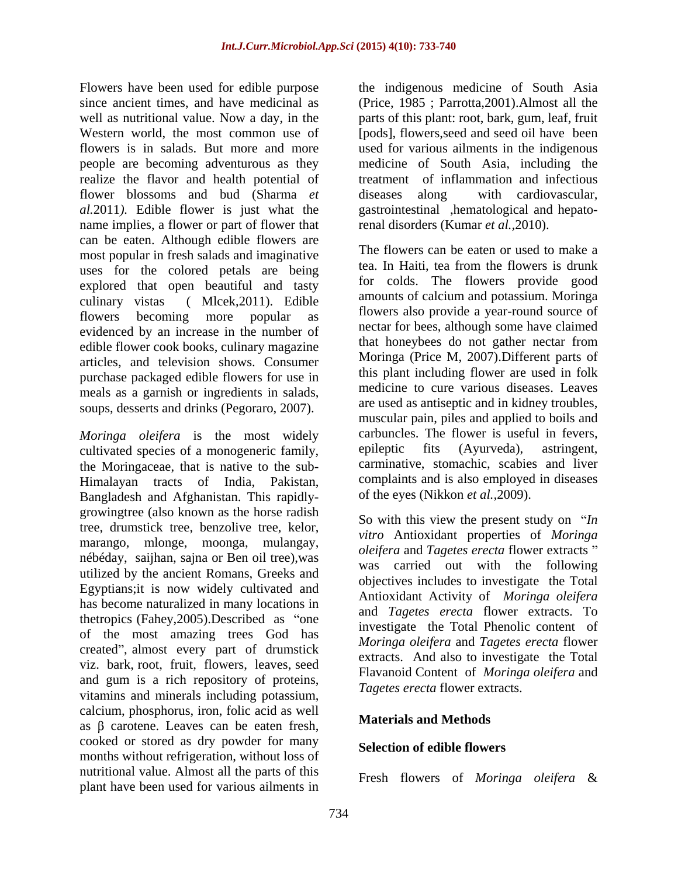Flowers have been used for edible purpose the indigenous medicine of South Asia since ancient times, and have medicinal as (Price, 1985 ; Parrotta,2001).Almost all the well as nutritional value. Now a day, in the parts of this plant: root, bark, gum, leaf, fruit Western world, the most common use of [pods], flowers,seed and seed oil have been flowers is in salads. But more and more used for various ailments in the indigenous people are becoming adventurous as they medicine of South Asia, including the realize the flavor and health potential of flower blossoms and bud (Sharma *et al.*2011*).* Edible flower is just what the gastrointestinal ,hematological and hepatoname implies, a flower or part of flower that can be eaten. Although edible flowers are most popular in fresh salads and imaginative<br>the salar state of the salar state of the salary state of the salary state of the salary state of the salary state of the salary state of the salary state of the salary state of uses for the colored petals are being explored that open beautiful and tasty evidenced by an increase in the number of the nectar for bees, although some have claimed<br>
edible flower cook books culing magazine that honeybees do not gather nectar from edible flower cook books, culinary magazine articles, and television shows. Consumer purchase packaged edible flowers for use in meals as a garnish or ingredients in salads, soups, desserts and drinks (Pegoraro, 2007).

*Moringa oleifera* is the most widely carbuncles. The flower is useful in fevers, cultivated species of a monogeneric family epileptic fits (Ayurveda), astringent, cultivated species of a monogeneric family, the Moringaceae, that is native to the sub- Himalayan tracts of India, Pakistan, Bangladesh and Afghanistan. This rapidly growingtree (also known as the horse radish tree, drumstick tree, benzolive tree, kelor, marango, mlonge, moonga, mulangay, nébéday, saijhan, sajna or Ben oil tree),was utilized by the ancient Romans, Greeks and Egyptians;it is now widely cultivated and has become naturalized in many locations in thetropics (Fahey,  $2005$ ). Described as "one of the most amazing trees God has created", almost every part of drumstick viz. bark, root, fruit, flowers, leaves, seed and gum is a rich repository of proteins, vitamins and minerals including potassium, calcium, phosphorus, iron, folic acid as well as  $\beta$  carotene. Leaves can be eaten fresh, cooked or stored as dry powder for many months without refrigeration, without loss of nutritional value. Almost all the parts of this plant have been used for various ailments in

treatment of inflammation and infectious diseases along with cardiovascular, renal disorders (Kumar *et al.,*2010).

culinary vistas ( Mlcek,2011). Edible amounts of calcium and potassium. Moringa flowers becoming more popular as thowers also provide a year-round source of The flowers can be eaten or used to make a tea. In Haiti, tea from the flowers is drunk for colds. The flowers provide good flowers also provide a year-round source of nectar for bees, although some have claimed that honeybees do not gather nectar from Moringa (Price M, 2007).Different parts of this plant including flower are used in folk medicine to cure various diseases. Leaves are used as antiseptic and in kidney troubles, muscular pain, piles and applied to boils and carbuncles. The flower is useful in fevers, epileptic fits (Ayurveda), astringent, carminative, stomachic, scabies and liver complaints and is also employed in diseases of the eyes (Nikkon *et al.,*2009).

> So with this view the present study on *'In vitro* Antioxidant properties of *Moringa oleifera* and *Tagetes erecta* flower extracts was carried out with the following objectives includes to investigate the Total Antioxidant Activity of *Moringa oleifera* and *Tagetes erecta* flower extracts. To investigate the Total Phenolic content of *Moringa oleifera* and *Tagetes erecta* flower extracts. And also to investigate the Total Flavanoid Content of *Moringa oleifera* and *Tagetes erecta* flower extracts.

### **Materials and Methods**

### **Selection of edible flowers**

Fresh flowers of *Moringa oleifera* &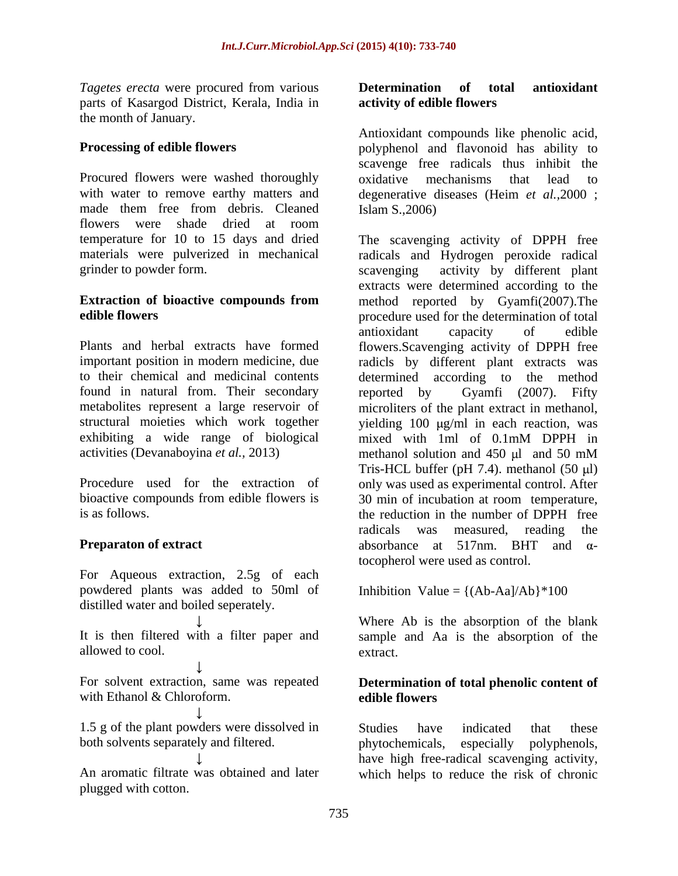parts of Kasargod District, Kerala, India in the month of January.

Procured flowers were washed thoroughly oxidative mechanisms that lead to flowers were shade dried at room temperature for 10 to 15 days and dried The scavenging activity of DPPH free

found in natural from. Their secondary reported by Gyamfi (2007). Fifty exhibiting a wide range of biological mixed with 1ml of 0.1mM DPPH in activities (Devanaboyina *et al.*, 2013) methanol solution and 450 ul and 50 mM

For Aqueous extraction, 2.5g of each powdered plants was added to 50ml of distilled water and boiled seperately.

with Ethanol & Chloroform. **Example 2** edible flowers

1.5 g of the plant powders were dissolved in Studies have indicated that these both solvents separately and filtered. both phytochemicals, especially polyphenols,

plugged with cotton.

### *Tagetes erecta* were procured from various **Determination of total antioxidant activity of edible flowers**

**Processing of edible flowers** polyphenol and flavonoid has ability to with water to remove earthy matters and degenerative diseases (Heim *et al.,*2000 ; made them free from debris. Cleaned Islam S., 2006) Antioxidant compounds like phenolic acid, scavenge free radicals thus inhibit the oxidative mechanisms that Islam S.,2006)

materials were pulverized in mechanical radicals and Hydrogen peroxide radical grinder to powder form. scavenging activity by different plant **Extraction of bioactive compounds from** method reported by Gyamfi(2007).The **edible flowers** procedure used for the determination of total Plants and herbal extracts have formed flowers.Scavenging activity of DPPH free important position in modern medicine, due radicls by different plant extracts was to their chemical and medicinal contents determined according to the method metabolites represent a large reservoir of microliters of the plant extract in methanol, structural moieties which work together yielding 100 µg/ml in each reaction, was methanol solution and 450 ul and 50 mM Procedure used for the extraction of only was used as experimental control. After bioactive compounds from edible flowers is 30 min of incubation at room temperature, is as follows. the reduction in the number of DPPH free **Preparaton of extract** absorbance at 517nm. BHT and  $\alpha$ extracts were determined according to the antioxidant capacity of edible reported by Gyamfi (2007). Fifty mixed with 1ml of 0.1mM DPPH in methanol solution and  $450 \mu l$  and  $50 \mu M$ Tris-HCL buffer (pH 7.4). methanol  $(50 \mu l)$ radicals was measured, reading the absorbance at 517nm. BHT and  $\alpha$ tocopherol were used as control.

Inhibition Value =  $\{(Ab-Aa)/Ab\}$ \*100

It is then filtered with a filter paper and sample and Aa is the absorption of the allowed to cool. extract. Where Ab is the absorption of the blank extract.

### For solvent extraction, same was repeated **Determination of total phenolic content of edible flowers**

An aromatic filtrate was obtained and later which helps to reduce the risk of chronicStudies have indicated that these phytochemicals, especially polyphenols, have high free-radical scavenging activity,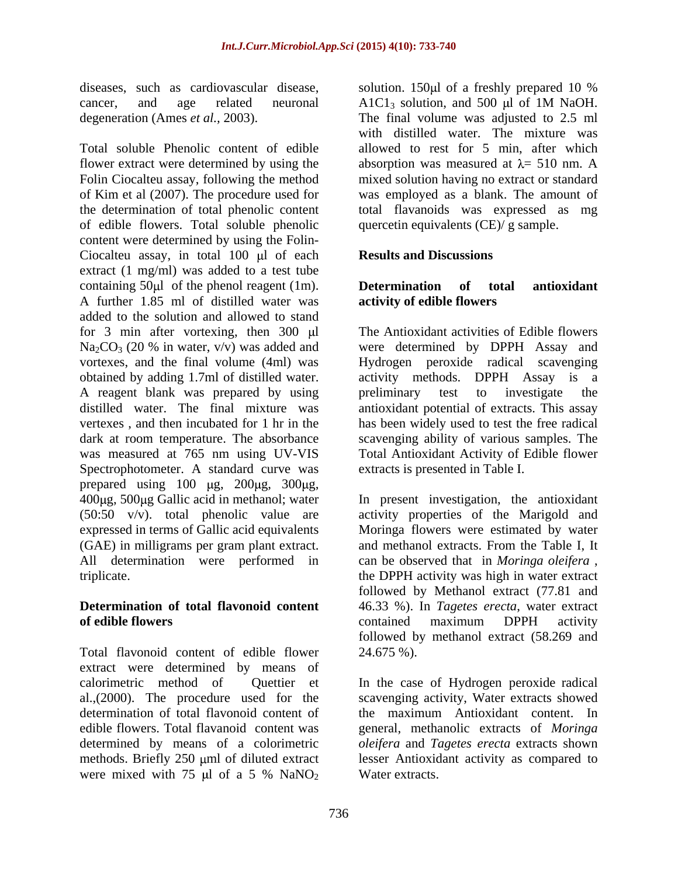diseases, such as cardiovascular disease, solution. 150 \, 150 \, d of a free ship prepared 10 \% cancer, and age related neuronal A1C1<sub>3</sub> solution, and 500 µl of 1M NaOH.

Total soluble Phenolic content of edible allowed to rest for 5 min, after which flower extract were determined by using the  $\qquad$  absorption was measured at  $\lambda = 510$  nm. A Folin Ciocalteu assay, following the method mixed solution having no extract or standard of Kim et al (2007). The procedure used for was employed as a blank. The amount of the determination of total phenolic content of edible flowers. Total soluble phenolic content were determined by using the Folin- Ciocalteu assay, in total  $100 \mu l$  of each extract (1 mg/ml) was added to a test tube containing 50 $\mu$ l of the phenol reagent (1m). **Determination** of total antioxidant A further 1.85 ml of distilled water was added to the solution and allowed to stand for 3 min after vortexing, then  $300 \mu l$  $Na<sub>2</sub>CO<sub>3</sub>$  (20 % in water, v/v) was added and were determined by DPPH Assay and vortexes, and the final volume (4ml) was Hydrogen peroxide radical scavenging obtained by adding 1.7ml of distilled water. activity methods. DPPH Assay is a A reagent blank was prepared by using preliminary test to investigate the distilled water. The final mixture was antioxidant potential of extracts. This assay vertexes, and then incubated for 1 hr in the has been widely used to test the free radical dark at room temperature. The absorbance scavenging ability of various samples. The was measured at 765 nm using UV-VIS Spectrophotometer. A standard curve was prepared using  $100 \mu$ g,  $200 \mu$ g,  $300 \mu$ g, 400 g, 500 g Gallic acid in methanol; water In present investigation, the antioxidant (50:50 v/v). total phenolic value are activity properties of the Marigold and expressed in terms of Gallic acid equivalents Moringa flowers were estimated by water (GAE) in milligrams per gram plant extract.<br>All determination were performed in triplicate. The DPPH activity was high in water extract

Total flavonoid content of edible flower 24.675 %). extract were determined by means of calorimetric method of Quettier et In the case of Hydrogen peroxide radical al.,(2000). The procedure used for the determination of total flavonoid content of the maximum Antioxidant content. In edible flowers. Total flavanoid content was general, methanolic extracts of *Moringa*  determined by means of a colorimetric *oleifera* and *Tagetes erecta* extracts shown methods. Briefly 250  $\mu$ ml of diluted extract<br>were mixed with 75  $\mu$ l of a 5 % NaNO<sub>2</sub> were mixed with 75  $\mu$ l of a 5 % NaNO<sub>2</sub> Water extracts.

degeneration (Ames *et al.,* 2003). The final volume was adjusted to 2.5 ml solution. 150 $\mu$ l of a freshly prepared 10 %  $A1C1_3$  solution, and 500 µl of 1M NaOH. with distilled water. The mixture was total flavanoids was expressed as mg quercetin equivalents (CE)/ g sample.

### **Results and Discussions**

### **Determination of total antioxidant activity of edible flowers**

The Antioxidant activities of Edible flowers preliminary test to investigate the Total Antioxidant Activity of Edible flower extracts is presented in Table I.

can be observed that in Moringa oleifera, **Determination of total flavonoid content** 46.33 %). In *Tagetes erecta*, water extract **of edible flowers contained maximum** DPPH activity and methanol extracts. From the Table I, It can be observed that in *Moringa oleifera* , the DPPH activity was high in water extract followed by Methanol extract (77.81 and contained maximum DPPH activity followed by methanol extract (58.269 and 24.675 %).

> scavenging activity, Water extracts showed lesser Antioxidant activity as compared to Water extracts.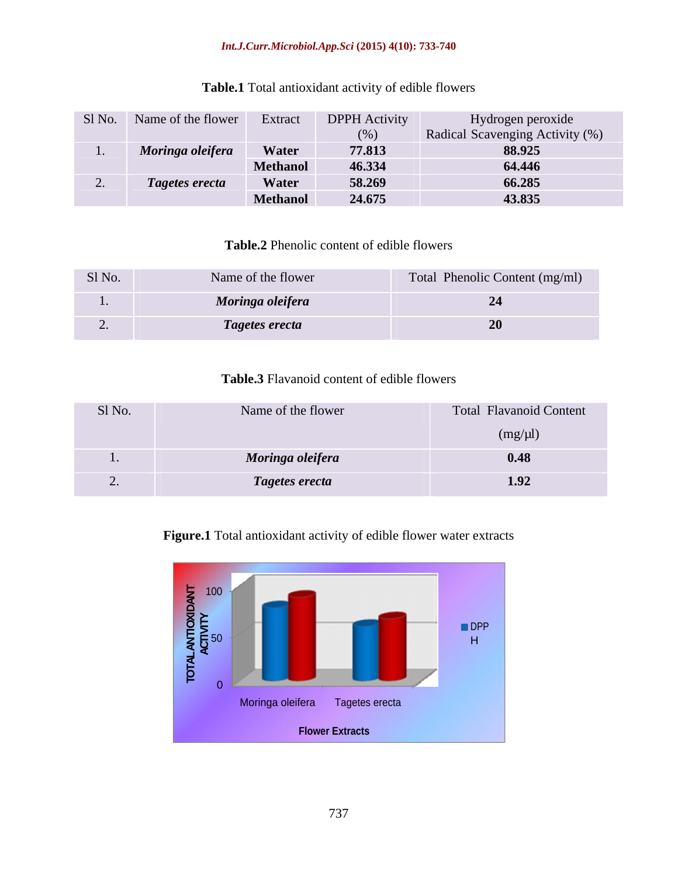### *Int.J.Curr.Microbiol.App.Sci* **(2015) 4(10): 733-740**

| Sl No. | Name of the flower | Extrac          | <b>DPPH</b> Activity | Hydrogen peroxide               |
|--------|--------------------|-----------------|----------------------|---------------------------------|
|        |                    |                 | (0)                  | Radical Scavenging Activity (%) |
|        | Moringa oleifera   | <b>Water</b>    | 77.813               | 88.925                          |
|        |                    | <b>Methanol</b> | 46.334               | 64.446                          |
|        | Tagetes erecta     | Water           | 58.269               | 66.285                          |
|        |                    | <b>Methanol</b> | 24.675               | 43.835                          |

### **Table.1** Total antioxidant activity of edible flowers

## **Table.2** Phenolic content of edible flowers

| Sl No. | Name of the flower | Total Phenolic Content (mg/ml) |
|--------|--------------------|--------------------------------|
| . .    | Moringa oleifera   | ---                            |
|        | Tagetes erecta     | $\sim$ $\sim$                  |

### **Table.3** Flavanoid content of edible flowers

| Sl No. | Name of the flower | <b>Total Flavanoid Content</b> |
|--------|--------------------|--------------------------------|
|        |                    | $(mg/\mu l)$                   |
| . .    | Moringa oleifera   | 0.48                           |
|        | Tagetes erecta     | 1.92                           |

### **Figure.1** Total antioxidant activity of edible flower water extracts

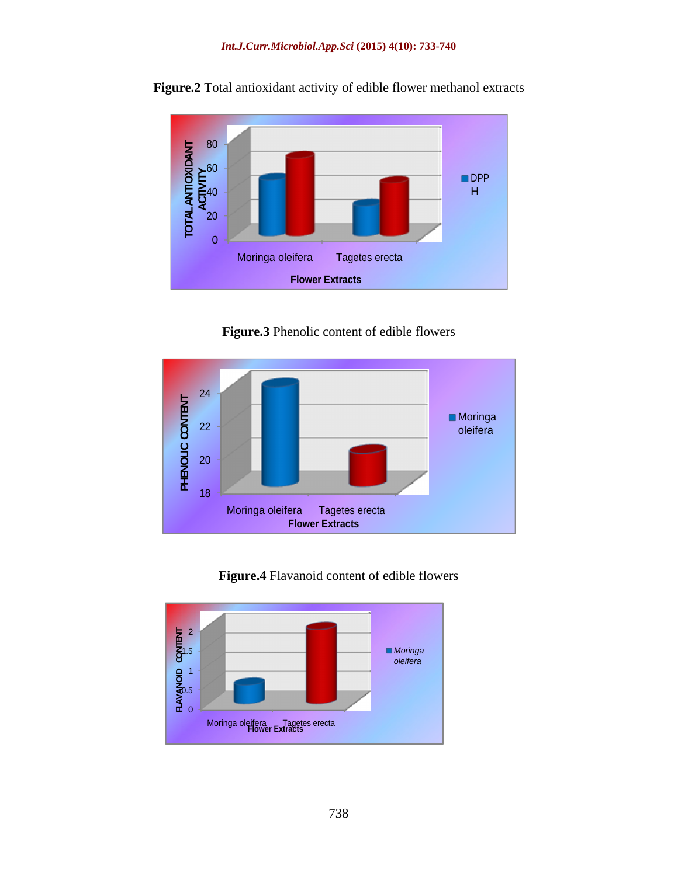

**Figure.2** Total antioxidant activity of edible flower methanol extracts

**Figure.3** Phenolic content of edible flowers





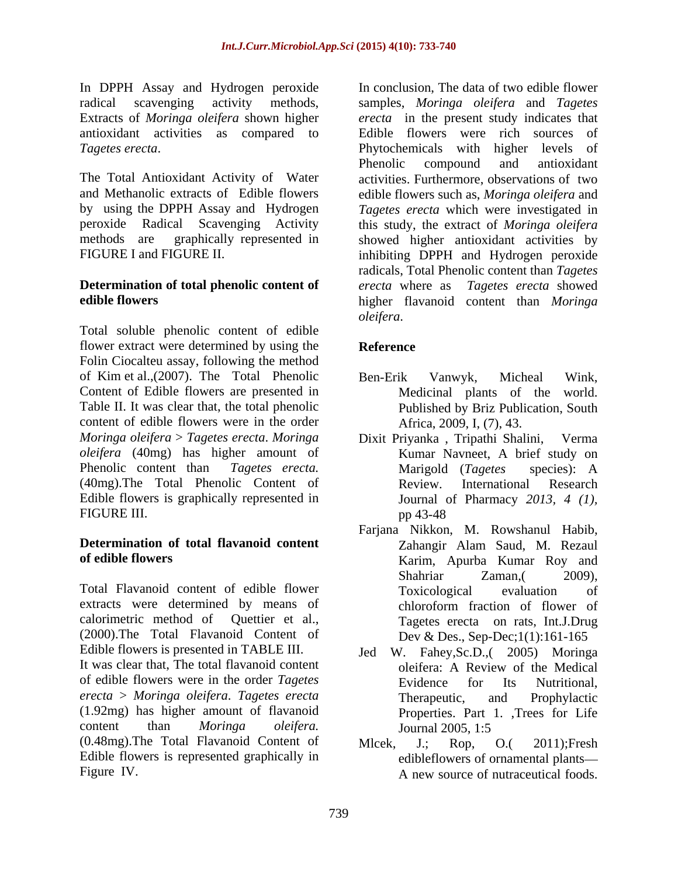In DPPH Assay and Hydrogen peroxide Extracts of *Moringa oleifera* shown higher

# **Determination of total phenolic content of** *erecta* where as *Tagetes erecta* showed

Total soluble phenolic content of edible flower extract were determined by using the Reference Folin Ciocalteu assay, following the method of Kim et al.,(2007). The Total Phenolic Ben-Erik Vanwyk, Micheal Wink, Content of Edible flowers are presented in Medicinal plants of the world. Table II. It was clear that, the total phenolic content of edible flowers were in the order *Moringa oleifera* > *Tagetes erecta*. *Moringa oleifera* (40mg) has higher amount of Phenolic content than *Tagetes erecta.* (40mg).The Total Phenolic Content of Edible flowers is graphically represented in FIGURE III. pp 43-48

## **Determination of total flavanoid content**

Total Flavanoid content of edible flower extracts were determined by means of chloroform fraction of flower of calorimetric method of Quettier et al., (2000).The Total Flavanoid Content of Edible flowers is presented in TABLE III. Jed W. Fahey, Sc.D., (2005) Moringa It was clear that, The total flavanoid content oleifera: A Review of the Medical

*erecta* > *Moringa oleifera*. *Tagetes erecta* (1.92mg) has higher amount of flavanoid (0.48mg).The Total Flavanoid Content of Edible flowers is represented graphically in Figure IV. A new source of nutraceutical foods.

radical scavenging activity methods, samples, *Moringa oleifera* and *Tagetes*  antioxidant activities as compared to Edible flowers were rich sources of *Tagetes erecta*. Phytochemicals with higher levels of The Total Antioxidant Activity of Water activities. Furthermore, observations of two and Methanolic extracts of Edible flowers edible flowers such as, *Moringa oleifera* and by using the DPPH Assay and Hydrogen *Tagetes erecta* which were investigated in peroxide Radical Scavenging Activity this study, the extract of *Moringa oleifera* methods are graphically represented in showed higher antioxidant activities by FIGURE I and FIGURE II. This inhibiting DPPH and Hydrogen peroxide **edible flowers** higher flavanoid content than *Moringa*  In conclusion, The data of two edible flower *erecta* in the present study indicates that Phenolic compound and antioxidant radicals, Total Phenolic content than *Tagetes erecta* where as *Tagetes erecta* showed *oleifera*.

### **Reference**

- Ben-Erik Vanwyk, Micheal Wink, Medicinal plants of the world. Published by Briz Publication, South Africa, 2009, I, (7), 43.
- Dixit Priyanka, Tripathi Shalini, Kumar Navneet, A brief study on Marigold (*Tagetes* species): A Review. International Research Journal of Pharmacy *2013, 4 (1),* pp 43-48
- **of edible flowers** Karim, Apurba Kumar Roy and Farjana Nikkon, M. Rowshanul Habib, Zahangir Alam Saud, M. Rezaul Shahriar Zaman, 2009), Toxicological evaluation of chloroform fraction of flower of Tagetes erecta on rats, Int.J.Drug Dev & Des., Sep-Dec;1(1):161-165
- of edible flowers were in the order *Tagetes*  content than *Moringa oleifera.* oleifera: A Review of the Medical Evidence for Its Nutritional, Therapeutic, and Prophylactic Properties. Part 1. ,Trees for Life Journal 2005, 1:5
	- Mlcek, J.; Rop, O.( 2011);Fresh edibleflowers of ornamental plants A new source of nutraceutical foods.